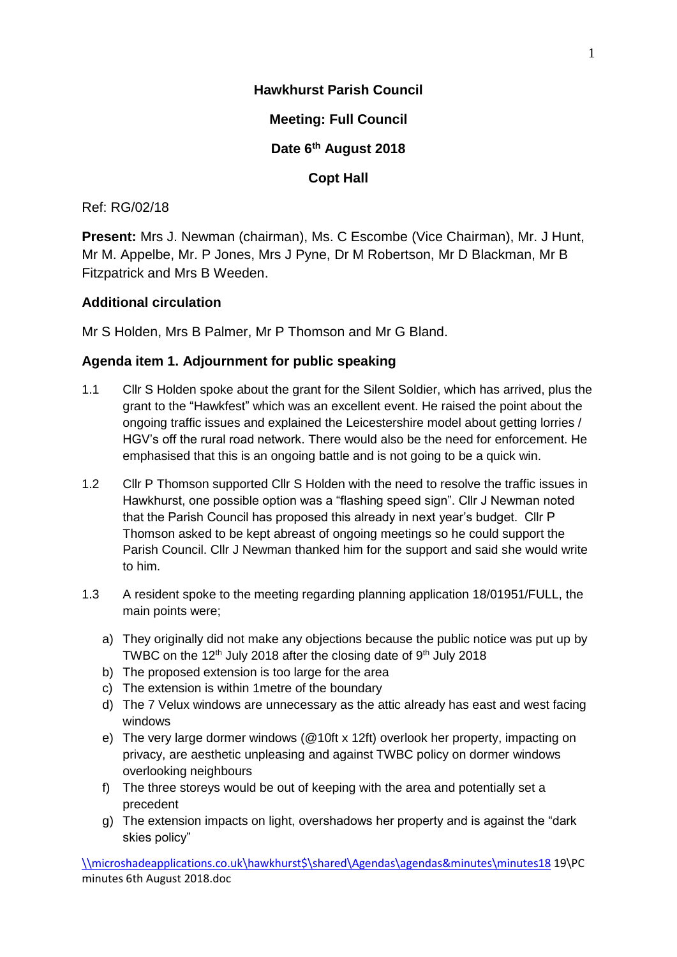### **Hawkhurst Parish Council**

**Meeting: Full Council**

**Date 6th August 2018**

**Copt Hall**

### Ref: RG/02/18

**Present:** Mrs J. Newman (chairman), Ms. C Escombe (Vice Chairman), Mr. J Hunt, Mr M. Appelbe, Mr. P Jones, Mrs J Pyne, Dr M Robertson, Mr D Blackman, Mr B Fitzpatrick and Mrs B Weeden.

### **Additional circulation**

Mr S Holden, Mrs B Palmer, Mr P Thomson and Mr G Bland.

### **Agenda item 1. Adjournment for public speaking**

- 1.1 Cllr S Holden spoke about the grant for the Silent Soldier, which has arrived, plus the grant to the "Hawkfest" which was an excellent event. He raised the point about the ongoing traffic issues and explained the Leicestershire model about getting lorries / HGV's off the rural road network. There would also be the need for enforcement. He emphasised that this is an ongoing battle and is not going to be a quick win.
- 1.2 Cllr P Thomson supported Cllr S Holden with the need to resolve the traffic issues in Hawkhurst, one possible option was a "flashing speed sign". Cllr J Newman noted that the Parish Council has proposed this already in next year's budget. Cllr P Thomson asked to be kept abreast of ongoing meetings so he could support the Parish Council. Cllr J Newman thanked him for the support and said she would write to him.
- 1.3 A resident spoke to the meeting regarding planning application 18/01951/FULL, the main points were;
	- a) They originally did not make any objections because the public notice was put up by TWBC on the 12<sup>th</sup> July 2018 after the closing date of 9<sup>th</sup> July 2018
	- b) The proposed extension is too large for the area
	- c) The extension is within 1metre of the boundary
	- d) The 7 Velux windows are unnecessary as the attic already has east and west facing windows
	- e) The very large dormer windows (@10ft x 12ft) overlook her property, impacting on privacy, are aesthetic unpleasing and against TWBC policy on dormer windows overlooking neighbours
	- f) The three storeys would be out of keeping with the area and potentially set a precedent
	- g) The extension impacts on light, overshadows her property and is against the "dark skies policy"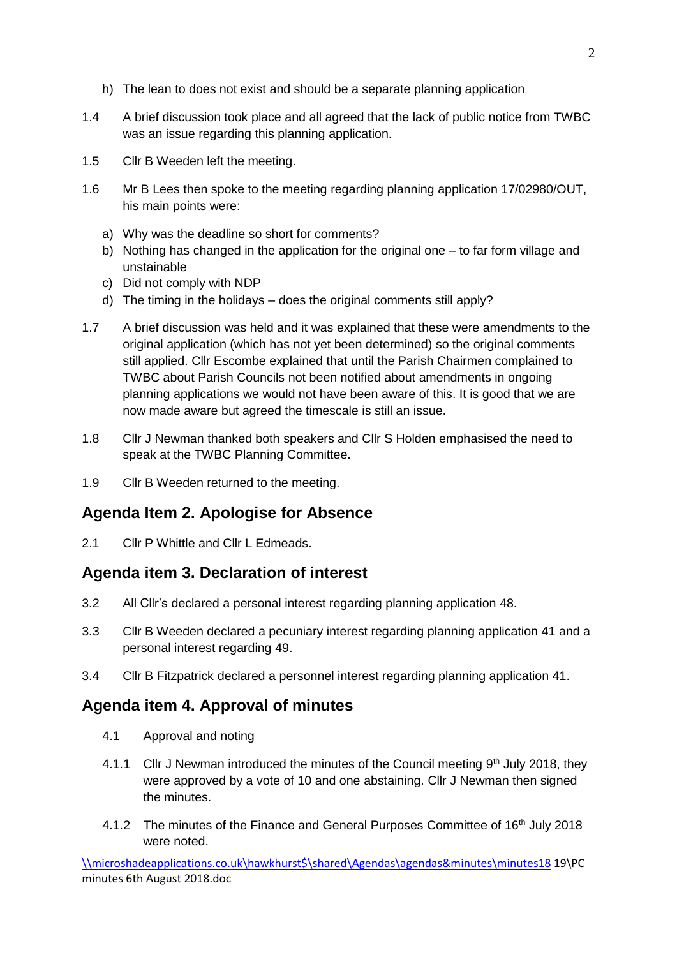- h) The lean to does not exist and should be a separate planning application
- 1.4 A brief discussion took place and all agreed that the lack of public notice from TWBC was an issue regarding this planning application.
- 1.5 Cllr B Weeden left the meeting.
- 1.6 Mr B Lees then spoke to the meeting regarding planning application 17/02980/OUT, his main points were:
	- a) Why was the deadline so short for comments?
	- b) Nothing has changed in the application for the original one to far form village and unstainable
	- c) Did not comply with NDP
	- d) The timing in the holidays does the original comments still apply?
- 1.7 A brief discussion was held and it was explained that these were amendments to the original application (which has not yet been determined) so the original comments still applied. Cllr Escombe explained that until the Parish Chairmen complained to TWBC about Parish Councils not been notified about amendments in ongoing planning applications we would not have been aware of this. It is good that we are now made aware but agreed the timescale is still an issue.
- 1.8 Cllr J Newman thanked both speakers and Cllr S Holden emphasised the need to speak at the TWBC Planning Committee.
- 1.9 Cllr B Weeden returned to the meeting.

# **Agenda Item 2. Apologise for Absence**

2.1 Cllr P Whittle and Cllr L Edmeads.

### **Agenda item 3. Declaration of interest**

- 3.2 All Cllr's declared a personal interest regarding planning application 48.
- 3.3 Cllr B Weeden declared a pecuniary interest regarding planning application 41 and a personal interest regarding 49.
- 3.4 Cllr B Fitzpatrick declared a personnel interest regarding planning application 41.

### **Agenda item 4. Approval of minutes**

- 4.1 Approval and noting
- 4.1.1 Cllr J Newman introduced the minutes of the Council meeting  $9<sup>th</sup>$  July 2018, they were approved by a vote of 10 and one abstaining. Cllr J Newman then signed the minutes.
- 4.1.2 The minutes of the Finance and General Purposes Committee of 16<sup>th</sup> July 2018 were noted.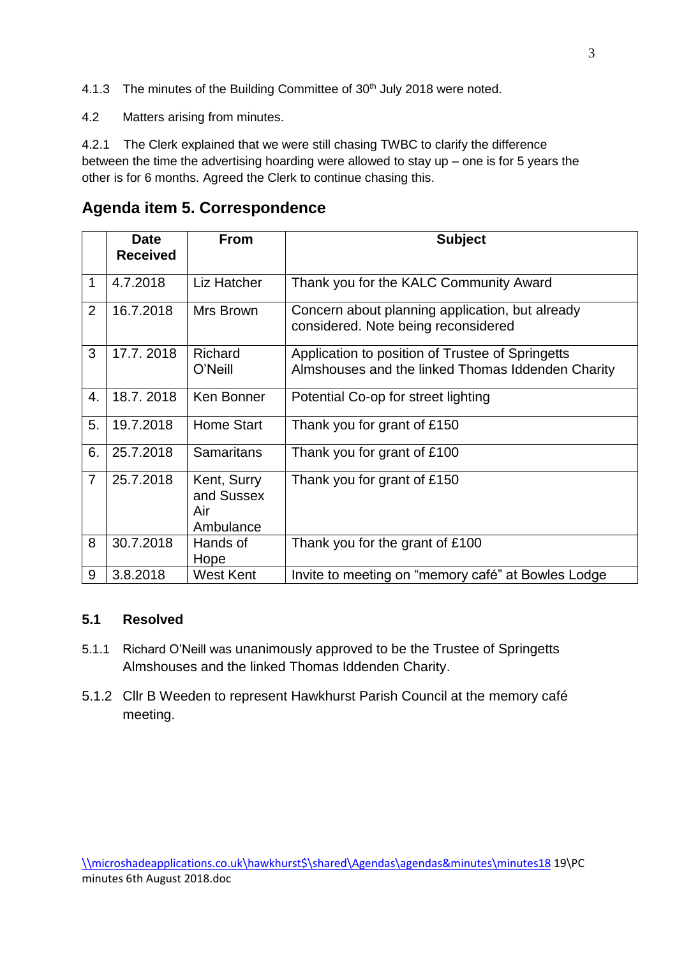- 4.1.3 The minutes of the Building Committee of 30<sup>th</sup> July 2018 were noted.
- 4.2 Matters arising from minutes.

4.2.1 The Clerk explained that we were still chasing TWBC to clarify the difference between the time the advertising hoarding were allowed to stay up – one is for 5 years the other is for 6 months. Agreed the Clerk to continue chasing this.

# **Agenda item 5. Correspondence**

|                | <b>Date</b><br><b>Received</b> | <b>From</b>                                   | <b>Subject</b>                                                                                        |
|----------------|--------------------------------|-----------------------------------------------|-------------------------------------------------------------------------------------------------------|
|                |                                |                                               |                                                                                                       |
| 1              | 4.7.2018                       | Liz Hatcher                                   | Thank you for the KALC Community Award                                                                |
| $\overline{2}$ | 16.7.2018                      | Mrs Brown                                     | Concern about planning application, but already<br>considered. Note being reconsidered                |
| 3              | 17.7.2018                      | Richard<br>O'Neill                            | Application to position of Trustee of Springetts<br>Almshouses and the linked Thomas Iddenden Charity |
| 4.             | 18.7.2018                      | Ken Bonner                                    | Potential Co-op for street lighting                                                                   |
| 5.             | 19.7.2018                      | <b>Home Start</b>                             | Thank you for grant of £150                                                                           |
| 6.             | 25.7.2018                      | <b>Samaritans</b>                             | Thank you for grant of £100                                                                           |
| $\overline{7}$ | 25.7.2018                      | Kent, Surry<br>and Sussex<br>Air<br>Ambulance | Thank you for grant of £150                                                                           |
| 8              | 30.7.2018                      | Hands of<br>Hope                              | Thank you for the grant of £100                                                                       |
| 9              | 3.8.2018                       | <b>West Kent</b>                              | Invite to meeting on "memory café" at Bowles Lodge                                                    |

### **5.1 Resolved**

- 5.1.1 Richard O'Neill was unanimously approved to be the Trustee of Springetts Almshouses and the linked Thomas Iddenden Charity.
- 5.1.2 Cllr B Weeden to represent Hawkhurst Parish Council at the memory café meeting.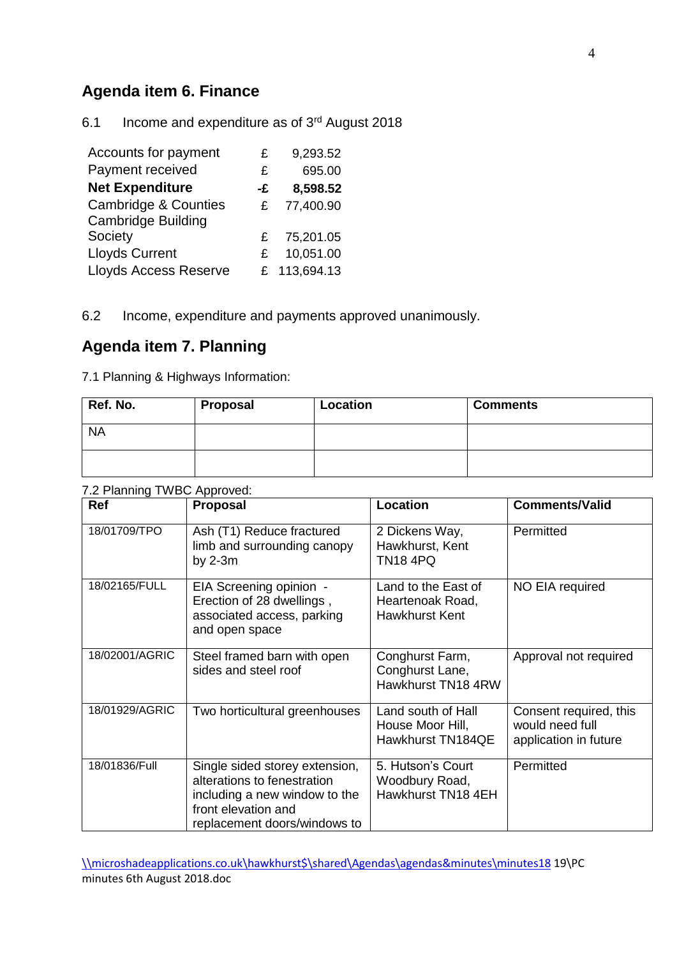# **Agenda item 6. Finance**

6.1 Income and expenditure as of 3rd August 2018

| Accounts for payment            | £  | 9,293.52     |
|---------------------------------|----|--------------|
| Payment received                | £  | 695.00       |
| <b>Net Expenditure</b>          | -£ | 8,598.52     |
| <b>Cambridge &amp; Counties</b> | £  | 77,400.90    |
| <b>Cambridge Building</b>       |    |              |
| Society                         | £  | 75,201.05    |
| <b>Lloyds Current</b>           | £  | 10,051.00    |
| <b>Lloyds Access Reserve</b>    |    | £ 113,694.13 |

6.2 Income, expenditure and payments approved unanimously.

### **Agenda item 7. Planning**

7.1 Planning & Highways Information:

| Ref. No.  | Proposal | Location | <b>Comments</b> |
|-----------|----------|----------|-----------------|
| <b>NA</b> |          |          |                 |
|           |          |          |                 |

#### 7.2 Planning TWBC Approved:

| <b>Ref</b>     | <b>Proposal</b>                                                                                                                                       | <b>Location</b>                                                  | <b>Comments/Valid</b>                                              |
|----------------|-------------------------------------------------------------------------------------------------------------------------------------------------------|------------------------------------------------------------------|--------------------------------------------------------------------|
| 18/01709/TPO   | Ash (T1) Reduce fractured<br>limb and surrounding canopy<br>by $2-3m$                                                                                 | 2 Dickens Way,<br>Hawkhurst, Kent<br><b>TN18 4PQ</b>             | Permitted                                                          |
| 18/02165/FULL  | EIA Screening opinion -<br>Erection of 28 dwellings,<br>associated access, parking<br>and open space                                                  | Land to the East of<br>Heartenoak Road,<br><b>Hawkhurst Kent</b> | NO EIA required                                                    |
| 18/02001/AGRIC | Steel framed barn with open<br>sides and steel roof                                                                                                   | Conghurst Farm,<br>Conghurst Lane,<br>Hawkhurst TN18 4RW         | Approval not required                                              |
| 18/01929/AGRIC | Two horticultural greenhouses                                                                                                                         | Land south of Hall<br>House Moor Hill,<br>Hawkhurst TN184QE      | Consent required, this<br>would need full<br>application in future |
| 18/01836/Full  | Single sided storey extension,<br>alterations to fenestration<br>including a new window to the<br>front elevation and<br>replacement doors/windows to | 5. Hutson's Court<br>Woodbury Road,<br>Hawkhurst TN18 4EH        | Permitted                                                          |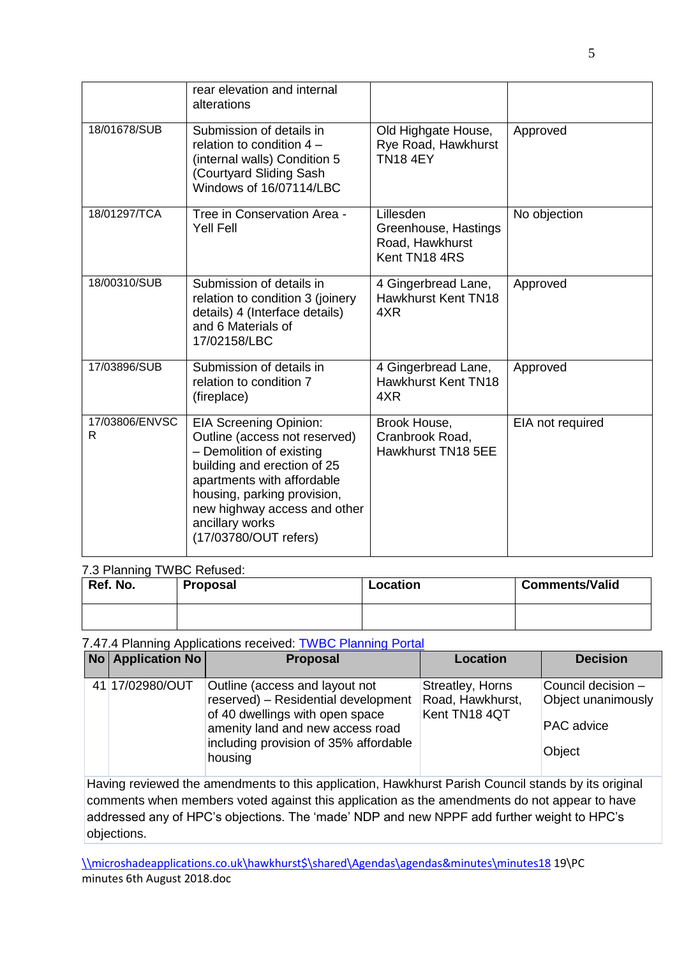|                     | rear elevation and internal<br>alterations                                                                                                                                                                                                                         |                                                                       |                  |
|---------------------|--------------------------------------------------------------------------------------------------------------------------------------------------------------------------------------------------------------------------------------------------------------------|-----------------------------------------------------------------------|------------------|
| 18/01678/SUB        | Submission of details in<br>relation to condition 4 -<br>(internal walls) Condition 5<br>(Courtyard Sliding Sash<br>Windows of 16/07114/LBC                                                                                                                        | Old Highgate House,<br>Rye Road, Hawkhurst<br><b>TN18 4EY</b>         | Approved         |
| 18/01297/TCA        | Tree in Conservation Area -<br><b>Yell Fell</b>                                                                                                                                                                                                                    | Lillesden<br>Greenhouse, Hastings<br>Road, Hawkhurst<br>Kent TN18 4RS | No objection     |
| 18/00310/SUB        | Submission of details in<br>relation to condition 3 (joinery<br>details) 4 (Interface details)<br>and 6 Materials of<br>17/02158/LBC                                                                                                                               | 4 Gingerbread Lane,<br>Hawkhurst Kent TN18<br>4XR                     | Approved         |
| 17/03896/SUB        | Submission of details in<br>relation to condition 7<br>(fireplace)                                                                                                                                                                                                 | 4 Gingerbread Lane,<br>Hawkhurst Kent TN18<br>4XR                     | Approved         |
| 17/03806/ENVSC<br>R | <b>EIA Screening Opinion:</b><br>Outline (access not reserved)<br>- Demolition of existing<br>building and erection of 25<br>apartments with affordable<br>housing, parking provision,<br>new highway access and other<br>ancillary works<br>(17/03780/OUT refers) | Brook House,<br>Cranbrook Road,<br>Hawkhurst TN18 5EE                 | EIA not required |

#### 7.3 Planning TWBC Refused:

| Ref. No. | Proposal | Location | <b>Comments/Valid</b> |
|----------|----------|----------|-----------------------|
|          |          |          |                       |

#### 7.47.4 Planning Applications received: [TWBC Planning Portal](http://www.tunbridgewells.gov.uk/residents/planning/planning-application-search)

| <b>No Application No</b> | <b>Proposal</b>                                                                                                                                                                                  | <b>Location</b>                                       | <b>Decision</b>                                                         |
|--------------------------|--------------------------------------------------------------------------------------------------------------------------------------------------------------------------------------------------|-------------------------------------------------------|-------------------------------------------------------------------------|
| 41 17/02980/OUT          | Outline (access and layout not<br>reserved) - Residential development<br>of 40 dwellings with open space<br>amenity land and new access road<br>including provision of 35% affordable<br>housing | Streatley, Horns<br>Road, Hawkhurst,<br>Kent TN18 4QT | Council decision -<br>Object unanimously<br><b>PAC</b> advice<br>Object |

Having reviewed the amendments to this application, Hawkhurst Parish Council stands by its original comments when members voted against this application as the amendments do not appear to have addressed any of HPC's objections. The 'made' NDP and new NPPF add further weight to HPC's objections.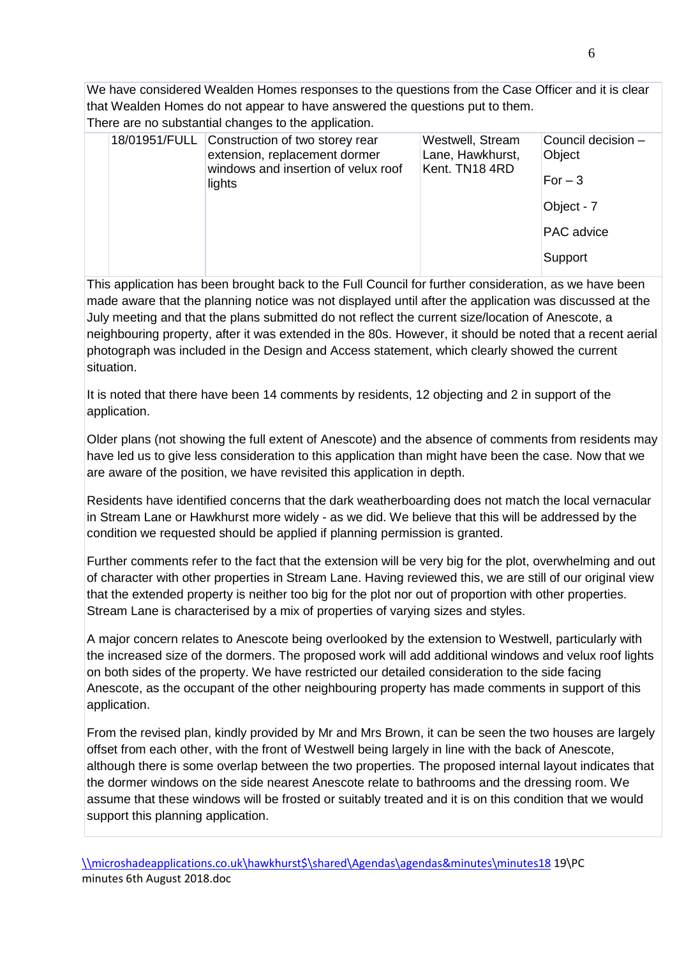We have considered Wealden Homes responses to the questions from the Case Officer and it is clear that Wealden Homes do not appear to have answered the questions put to them.

There are no substantial changes to the application.

|  | 18/01951/FULL Construction of two storey rear<br>extension, replacement dormer<br>windows and insertion of velux roof | Westwell, Stream<br>Lane, Hawkhurst,<br>Kent. TN18 4RD | Council decision -<br>Object |
|--|-----------------------------------------------------------------------------------------------------------------------|--------------------------------------------------------|------------------------------|
|  | lights                                                                                                                |                                                        | $For-3$                      |
|  |                                                                                                                       |                                                        | Object - 7                   |
|  |                                                                                                                       |                                                        | <b>PAC</b> advice            |
|  |                                                                                                                       |                                                        | Support                      |
|  |                                                                                                                       |                                                        |                              |

This application has been brought back to the Full Council for further consideration, as we have been made aware that the planning notice was not displayed until after the application was discussed at the July meeting and that the plans submitted do not reflect the current size/location of Anescote, a neighbouring property, after it was extended in the 80s. However, it should be noted that a recent aerial photograph was included in the Design and Access statement, which clearly showed the current situation.

It is noted that there have been 14 comments by residents, 12 objecting and 2 in support of the application.

Older plans (not showing the full extent of Anescote) and the absence of comments from residents may have led us to give less consideration to this application than might have been the case. Now that we are aware of the position, we have revisited this application in depth.

Residents have identified concerns that the dark weatherboarding does not match the local vernacular in Stream Lane or Hawkhurst more widely - as we did. We believe that this will be addressed by the condition we requested should be applied if planning permission is granted.

Further comments refer to the fact that the extension will be very big for the plot, overwhelming and out of character with other properties in Stream Lane. Having reviewed this, we are still of our original view that the extended property is neither too big for the plot nor out of proportion with other properties. Stream Lane is characterised by a mix of properties of varying sizes and styles.

A major concern relates to Anescote being overlooked by the extension to Westwell, particularly with the increased size of the dormers. The proposed work will add additional windows and velux roof lights on both sides of the property. We have restricted our detailed consideration to the side facing Anescote, as the occupant of the other neighbouring property has made comments in support of this application.

From the revised plan, kindly provided by Mr and Mrs Brown, it can be seen the two houses are largely offset from each other, with the front of Westwell being largely in line with the back of Anescote, although there is some overlap between the two properties. The proposed internal layout indicates that the dormer windows on the side nearest Anescote relate to bathrooms and the dressing room. We assume that these windows will be frosted or suitably treated and it is on this condition that we would support this planning application.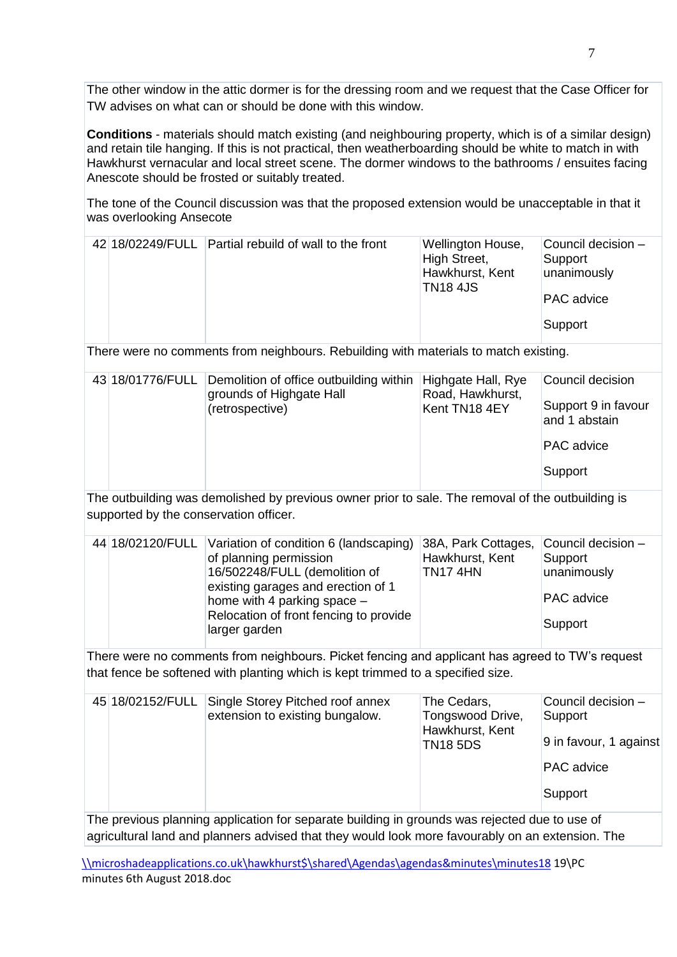The other window in the attic dormer is for the dressing room and we request that the Case Officer for TW advises on what can or should be done with this window.

**Conditions** - materials should match existing (and neighbouring property, which is of a similar design) and retain tile hanging. If this is not practical, then weatherboarding should be white to match in with Hawkhurst vernacular and local street scene. The dormer windows to the bathrooms / ensuites facing Anescote should be frosted or suitably treated.

The tone of the Council discussion was that the proposed extension would be unacceptable in that it was overlooking Ansecote

|  | 42 18/02249/FULL Partial rebuild of wall to the front | Wellington House,<br>High Street,<br>Hawkhurst, Kent<br><b>TN18 4JS</b> | Council decision -<br>Support<br>unanimously<br><b>PAC</b> advice |
|--|-------------------------------------------------------|-------------------------------------------------------------------------|-------------------------------------------------------------------|
|  |                                                       |                                                                         | Support                                                           |

There were no comments from neighbours. Rebuilding with materials to match existing.

| 43 18/01776/FULL<br>Demolition of office outbuilding within Highgate Hall, Rye<br>grounds of Highgate Hall<br>(retrospective) | Road, Hawkhurst,<br>Kent TN18 4EY | Council decision<br>Support 9 in favour<br>and 1 abstain<br><b>PAC</b> advice<br>Support |
|-------------------------------------------------------------------------------------------------------------------------------|-----------------------------------|------------------------------------------------------------------------------------------|

The outbuilding was demolished by previous owner prior to sale. The removal of the outbuilding is supported by the conservation officer.

|  | 44 18/02120/FULL Variation of condition 6 (landscaping) 38A, Park Cottages, |                 | Council decision $-$ |
|--|-----------------------------------------------------------------------------|-----------------|----------------------|
|  | of planning permission                                                      | Hawkhurst, Kent | Support              |
|  | 16/502248/FULL (demolition of                                               | TN174HN         | unanimously          |
|  | existing garages and erection of 1                                          |                 |                      |
|  | home with 4 parking space -                                                 |                 | <b>PAC</b> advice    |
|  | Relocation of front fencing to provide                                      |                 |                      |
|  | larger garden                                                               |                 | Support              |
|  |                                                                             |                 |                      |

There were no comments from neighbours. Picket fencing and applicant has agreed to TW's request that fence be softened with planting which is kept trimmed to a specified size.

| 45 18/02152/FULL | Single Storey Pitched roof annex<br>extension to existing bungalow. | The Cedars,<br>Tongswood Drive,<br>Hawkhurst, Kent<br><b>TN18 5DS</b> | Council decision -<br>Support<br>9 in favour, 1 against |
|------------------|---------------------------------------------------------------------|-----------------------------------------------------------------------|---------------------------------------------------------|
|                  |                                                                     |                                                                       | PAC advice                                              |
|                  |                                                                     |                                                                       | Support                                                 |

The previous planning application for separate building in grounds was rejected due to use of agricultural land and planners advised that they would look more favourably on an extension. The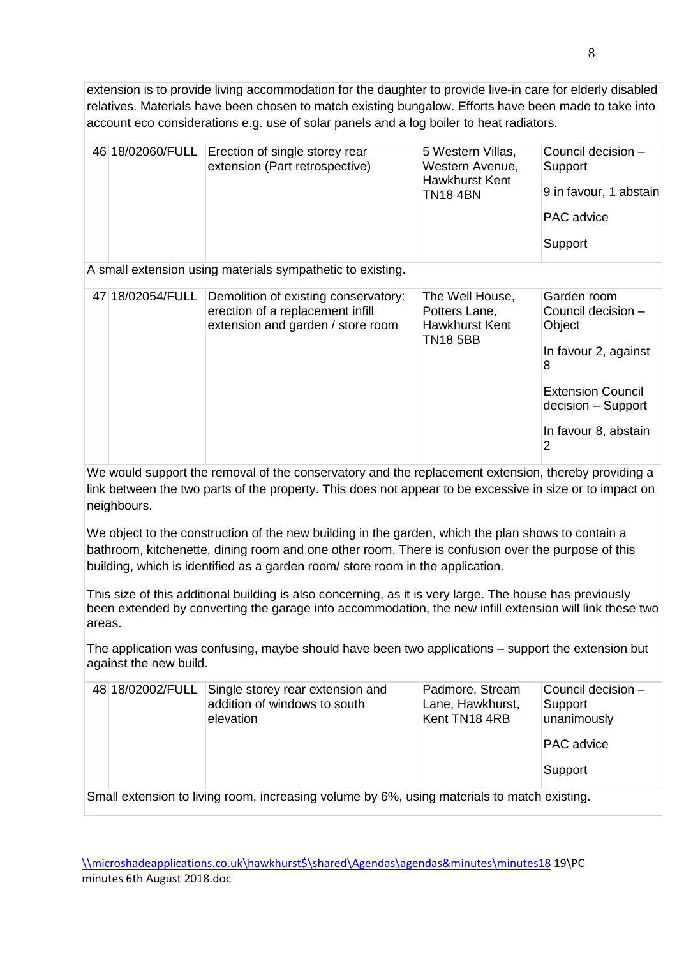extension is to provide living accommodation for the daughter to provide live-in care for elderly disabled relatives. Materials have been chosen to match existing bungalow. Efforts have been made to take into account eco considerations e.g. use of solar panels and a log boiler to heat radiators.

| 46 18/02060/FULL                                           | Erection of single storey rear<br>extension (Part retrospective)                                              | 5 Western Villas,<br>Western Avenue,<br><b>Hawkhurst Kent</b><br><b>TN184BN</b> | Council decision -<br>Support<br>9 in favour, 1 abstain<br><b>PAC</b> advice<br>Support |  |  |
|------------------------------------------------------------|---------------------------------------------------------------------------------------------------------------|---------------------------------------------------------------------------------|-----------------------------------------------------------------------------------------|--|--|
| A small extension using materials sympathetic to existing. |                                                                                                               |                                                                                 |                                                                                         |  |  |
| 47 18/02054/FULL                                           | Demolition of existing conservatory:<br>erection of a replacement infill<br>extension and garden / store room | The Well House,<br>Potters Lane,<br><b>Hawkhurst Kent</b><br><b>TN18 5BB</b>    | Garden room<br>Council decision -<br>Object<br>In favour 2, against<br>8                |  |  |

We would support the removal of the conservatory and the replacement extension, thereby providing a link between the two parts of the property. This does not appear to be excessive in size or to impact on neighbours.

We object to the construction of the new building in the garden, which the plan shows to contain a bathroom, kitchenette, dining room and one other room. There is confusion over the purpose of this building, which is identified as a garden room/ store room in the application.

This size of this additional building is also concerning, as it is very large. The house has previously been extended by converting the garage into accommodation, the new infill extension will link these two areas.

The application was confusing, maybe should have been two applications – support the extension but against the new build.

| 48 18/02002/FULL                                                                           | Single storey rear extension and<br>addition of windows to south<br>elevation | Padmore, Stream<br>Lane, Hawkhurst,<br>Kent TN18 4RB | Council decision -<br>Support<br>unanimously<br><b>PAC</b> advice<br>Support |  |  |
|--------------------------------------------------------------------------------------------|-------------------------------------------------------------------------------|------------------------------------------------------|------------------------------------------------------------------------------|--|--|
| Small oxtonoion to living room, increasing volume by 6%, using materials to match oxigting |                                                                               |                                                      |                                                                              |  |  |

Small extension to living room, increasing volume by 6%, using materials to match existing.

Extension Council decision – Support

In favour 8, abstain

 $\overline{2}$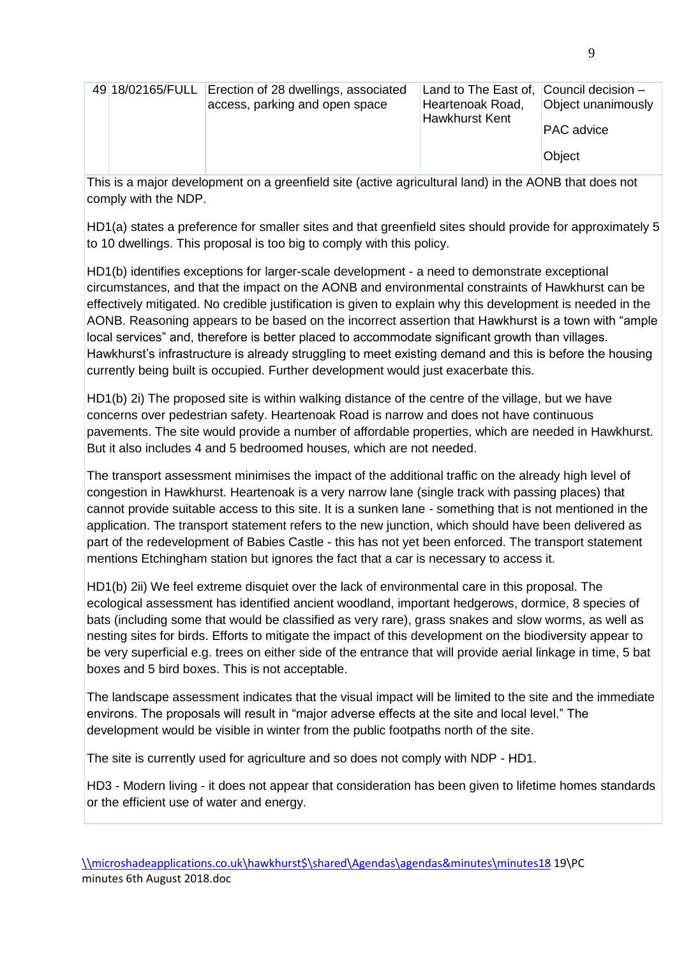|  | 49 18/02165/FULL Erection of 28 dwellings, associated<br>access, parking and open space | Land to The East of, Council decision -<br>Heartenoak Road,<br>Hawkhurst Kent | Object unanimously<br><b>PAC</b> advice |
|--|-----------------------------------------------------------------------------------------|-------------------------------------------------------------------------------|-----------------------------------------|
|  |                                                                                         |                                                                               | Object                                  |

This is a major development on a greenfield site (active agricultural land) in the AONB that does not comply with the NDP.

HD1(a) states a preference for smaller sites and that greenfield sites should provide for approximately 5 to 10 dwellings. This proposal is too big to comply with this policy.

HD1(b) identifies exceptions for larger-scale development - a need to demonstrate exceptional circumstances, and that the impact on the AONB and environmental constraints of Hawkhurst can be effectively mitigated. No credible justification is given to explain why this development is needed in the AONB. Reasoning appears to be based on the incorrect assertion that Hawkhurst is a town with "ample local services" and, therefore is better placed to accommodate significant growth than villages. Hawkhurst's infrastructure is already struggling to meet existing demand and this is before the housing currently being built is occupied. Further development would just exacerbate this.

HD1(b) 2i) The proposed site is within walking distance of the centre of the village, but we have concerns over pedestrian safety. Heartenoak Road is narrow and does not have continuous pavements. The site would provide a number of affordable properties, which are needed in Hawkhurst. But it also includes 4 and 5 bedroomed houses, which are not needed.

The transport assessment minimises the impact of the additional traffic on the already high level of congestion in Hawkhurst. Heartenoak is a very narrow lane (single track with passing places) that cannot provide suitable access to this site. It is a sunken lane - something that is not mentioned in the application. The transport statement refers to the new junction, which should have been delivered as part of the redevelopment of Babies Castle - this has not yet been enforced. The transport statement mentions Etchingham station but ignores the fact that a car is necessary to access it.

HD1(b) 2ii) We feel extreme disquiet over the lack of environmental care in this proposal. The ecological assessment has identified ancient woodland, important hedgerows, dormice, 8 species of bats (including some that would be classified as very rare), grass snakes and slow worms, as well as nesting sites for birds. Efforts to mitigate the impact of this development on the biodiversity appear to be very superficial e.g. trees on either side of the entrance that will provide aerial linkage in time, 5 bat boxes and 5 bird boxes. This is not acceptable.

The landscape assessment indicates that the visual impact will be limited to the site and the immediate environs. The proposals will result in "major adverse effects at the site and local level." The development would be visible in winter from the public footpaths north of the site.

The site is currently used for agriculture and so does not comply with NDP - HD1.

HD3 - Modern living - it does not appear that consideration has been given to lifetime homes standards or the efficient use of water and energy.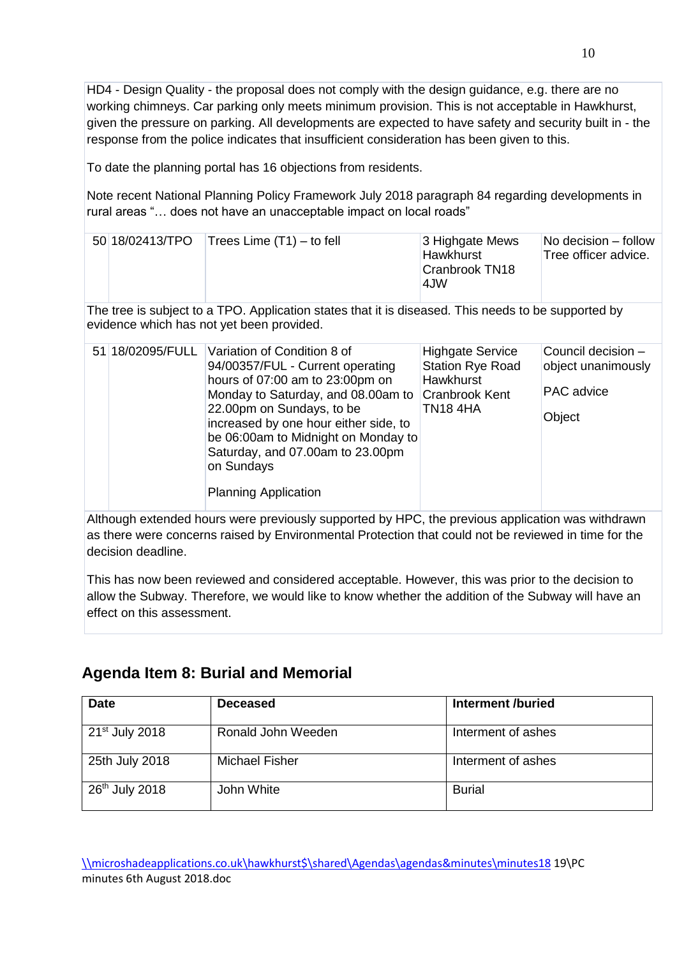HD4 - Design Quality - the proposal does not comply with the design guidance, e.g. there are no working chimneys. Car parking only meets minimum provision. This is not acceptable in Hawkhurst, given the pressure on parking. All developments are expected to have safety and security built in - the response from the police indicates that insufficient consideration has been given to this.

To date the planning portal has 16 objections from residents.

Note recent National Planning Policy Framework July 2018 paragraph 84 regarding developments in rural areas "… does not have an unacceptable impact on local roads"

|  | 50 18/02413/TPO   Trees Lime $(T1)$ – to fell | 3 Highgate Mews<br>Hawkhurst<br>Cranbrook TN18<br>4.JW | No decision – follow<br>Tree officer advice. |
|--|-----------------------------------------------|--------------------------------------------------------|----------------------------------------------|
|  |                                               |                                                        |                                              |

The tree is subject to a TPO. Application states that it is diseased. This needs to be supported by evidence which has not yet been provided.

|  | 51 18/02095/FULL Variation of Condition 8 of<br>94/00357/FUL - Current operating<br>hours of 07:00 am to 23:00pm on<br>Monday to Saturday, and 08.00am to<br>22.00pm on Sundays, to be<br>increased by one hour either side, to<br>be 06:00am to Midnight on Monday to<br>Saturday, and 07.00am to 23.00pm<br>on Sundays<br><b>Planning Application</b> | <b>Highgate Service</b><br><b>Station Rye Road</b><br>Hawkhurst<br><b>Cranbrook Kent</b><br><b>TN184HA</b> | Council decision -<br>object unanimously<br><b>PAC</b> advice<br>Object |
|--|---------------------------------------------------------------------------------------------------------------------------------------------------------------------------------------------------------------------------------------------------------------------------------------------------------------------------------------------------------|------------------------------------------------------------------------------------------------------------|-------------------------------------------------------------------------|
|  |                                                                                                                                                                                                                                                                                                                                                         |                                                                                                            |                                                                         |

Although extended hours were previously supported by HPC, the previous application was withdrawn as there were concerns raised by Environmental Protection that could not be reviewed in time for the decision deadline.

This has now been reviewed and considered acceptable. However, this was prior to the decision to allow the Subway. Therefore, we would like to know whether the addition of the Subway will have an effect on this assessment.

### **Agenda Item 8: Burial and Memorial**

| <b>Date</b>                | <b>Deceased</b>    | Interment /buried  |
|----------------------------|--------------------|--------------------|
| 21 <sup>st</sup> July 2018 | Ronald John Weeden | Interment of ashes |
| 25th July 2018             | Michael Fisher     | Interment of ashes |
| $26th$ July 2018           | John White         | <b>Burial</b>      |